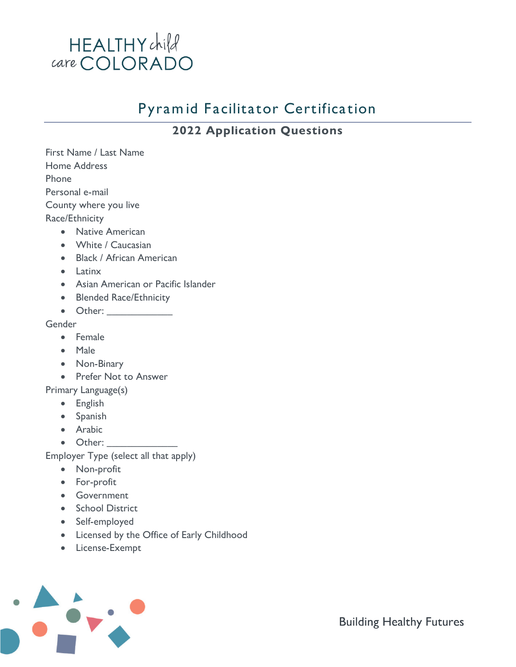

## Pyram id Facilitator Certification

### **2022 Application Questions**

| First Name / Last Name                |                                                                                                                                                                                                                                |
|---------------------------------------|--------------------------------------------------------------------------------------------------------------------------------------------------------------------------------------------------------------------------------|
| <b>Home Address</b>                   |                                                                                                                                                                                                                                |
| Phone                                 |                                                                                                                                                                                                                                |
| Personal e-mail                       |                                                                                                                                                                                                                                |
| County where you live                 |                                                                                                                                                                                                                                |
| Race/Ethnicity                        |                                                                                                                                                                                                                                |
|                                       | <b>Native American</b>                                                                                                                                                                                                         |
| $\bullet$                             | White / Caucasian                                                                                                                                                                                                              |
|                                       | <b>Black / African American</b>                                                                                                                                                                                                |
| $\bullet$                             | <b>Latinx</b>                                                                                                                                                                                                                  |
| $\bullet$                             | Asian American or Pacific Islander                                                                                                                                                                                             |
|                                       | <b>Blended Race/Ethnicity</b>                                                                                                                                                                                                  |
|                                       |                                                                                                                                                                                                                                |
| Gender                                |                                                                                                                                                                                                                                |
|                                       | Female                                                                                                                                                                                                                         |
|                                       | Male                                                                                                                                                                                                                           |
|                                       | Non-Binary                                                                                                                                                                                                                     |
|                                       | <b>Prefer Not to Answer</b>                                                                                                                                                                                                    |
| Primary Language(s)                   |                                                                                                                                                                                                                                |
| $\bullet$                             | English                                                                                                                                                                                                                        |
| $\bullet$                             | Spanish                                                                                                                                                                                                                        |
|                                       | Arabic                                                                                                                                                                                                                         |
|                                       | Other: and the state of the state of the state of the state of the state of the state of the state of the state of the state of the state of the state of the state of the state of the state of the state of the state of the |
| Employer Type (select all that apply) |                                                                                                                                                                                                                                |
|                                       | Non-profit                                                                                                                                                                                                                     |
|                                       | For-profit                                                                                                                                                                                                                     |
|                                       | Government                                                                                                                                                                                                                     |

- School District
- Self-employed
- Licensed by the Office of Early Childhood
- License-Exempt



**Building Healthy Futures**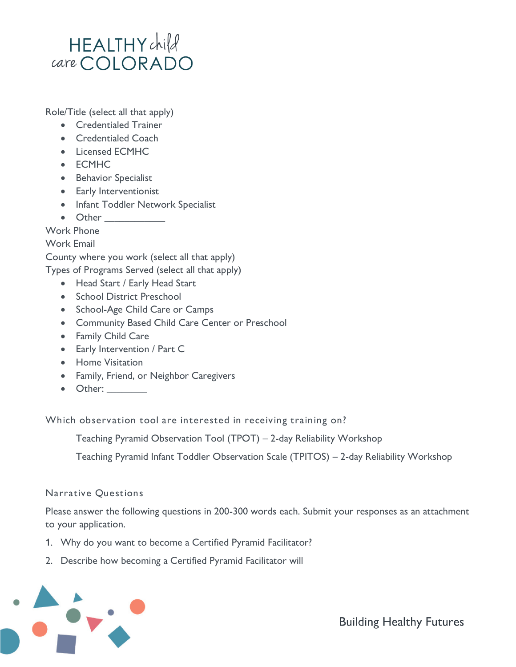## HEALTHYchild care COLORADO

Role/Title (select all that apply)

- Credentialed Trainer
- Credentialed Coach
- Licensed FCMHC
- ECMHC
- Behavior Specialist
- Early Interventionist
- Infant Toddler Network Specialist
- Other

Work Phone

Work Email

County where you work (select all that apply)

Types of Programs Served (select all that apply)

- Head Start / Early Head Start
- School District Preschool
- School-Age Child Care or Camps
- Community Based Child Care Center or Preschool
- Family Child Care
- Early Intervention / Part C
- Home Visitation
- Family, Friend, or Neighbor Caregivers
- Other: \_\_\_\_\_\_\_\_

Which observation tool are interested in receiving training on?

• Teaching Pyramid Observation Tool (TPOT) – 2-day Reliability Workshop

• Teaching Pyramid Infant Toddler Observation Scale (TPITOS) – 2-day Reliability Workshop

#### Narrative Questions

Please answer the following questions in 200-300 words each. Submit your responses as an attachment to your application.

- 1. Why do you want to become a Certified Pyramid Facilitator?
- 2. Describe how becoming a Certified Pyramid Facilitator will



**Building Healthy Futures**